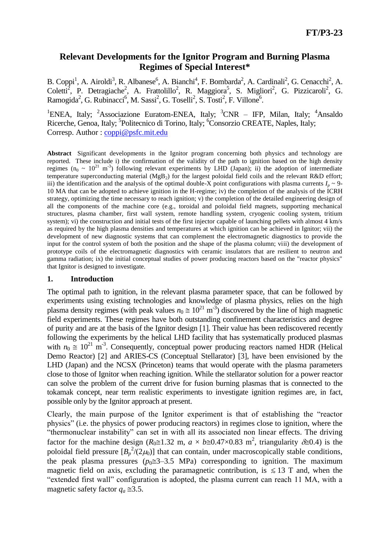## **Relevant Developments for the Ignitor Program and Burning Plasma Regimes of Special Interest\***\*

B. Coppi<sup>1</sup>, A. Airoldi<sup>3</sup>, R. Albanese<sup>6</sup>, A. Bianchi<sup>4</sup>, F. Bombarda<sup>2</sup>, A. Cardinali<sup>2</sup>, G. Cenacchi<sup>2</sup>, A. Coletti<sup>2</sup>, P. Detragiache<sup>2</sup>, A. Frattolillo<sup>2</sup>, R. Maggiora<sup>5</sup>, S. Migliori<sup>2</sup>, G. Pizzicaroli<sup>2</sup>, G. Ramogida<sup>2</sup>, G. Rubinacci<sup>6</sup>, M. Sassi<sup>2</sup>, G. Toselli<sup>2</sup>, S. Tosti<sup>2</sup>, F. Villone<sup>6</sup>.

<sup>1</sup>ENEA, Italy; <sup>2</sup>Associazione Euratom-ENEA, Italy; <sup>3</sup>CNR – IFP, Milan, Italy; <sup>4</sup>Ansaldo Ricerche, Genoa, Italy; <sup>5</sup>Politecnico di Torino, Italy; <sup>6</sup>Consorzio CREATE, Naples, Italy; Corresp. Author : [coppi@psfc.mit.edu](mailto:coppi@psfc.mit.edu)

**Abstract** Significant developments in the Ignitor program concerning both physics and technology are reported. These include i) the confirmation of the validity of the path to ignition based on the high density regimes ( $n_0 \sim 10^{21}$  m<sup>-3</sup>) following relevant experiments by LHD (Japan); ii) the adoption of intermediate temperature superconducting material ( $MgB<sub>2</sub>$ ) for the largest poloidal field coils and the relevant R&D effort; iii) the identification and the analysis of the optimal double-X point configurations with plasma currents  $I_p \sim 9-$ 10 MA that can be adopted to achieve ignition in the H-regime; iv) the completion of the analysis of the ICRH strategy, optimizing the time necessary to reach ignition; v) the completion of the detailed engineering design of all the components of the machine core (e.g., toroidal and poloidal field magnets, supporting mechanical structures, plasma chamber, first wall system, remote handling system, cryogenic cooling system, tritium system); vi) the construction and initial tests of the first injector capable of launching pellets with almost 4 km/s as required by the high plasma densities and temperatures at which ignition can be achieved in Ignitor; vii) the development of new diagnostic systems that can complement the electromagnetic diagnostics to provide the input for the control system of both the position and the shape of the plasma column; viii) the development of prototype coils of the electromagnetic diagnostics with ceramic insulators that are resilient to neutron and gamma radiation; ix) the initial conceptual studies of power producing reactors based on the "reactor physics" that Ignitor is designed to investigate.

#### **1. Introduction**

The optimal path to ignition, in the relevant plasma parameter space, that can be followed by experiments using existing technologies and knowledge of plasma physics, relies on the high plasma density regimes (with peak values  $n_0 \approx 10^{21} \text{ m}^3$ ) discovered by the line of high magnetic field experiments. These regimes have both outstanding confinement characteristics and degree of purity and are at the basis of the Ignitor design [1]. Their value has been rediscovered recently following the experiments by the helical LHD facility that has systematically produced plasmas with  $n_0 \approx 10^{21}$  m<sup>-3</sup>. Consequently, conceptual power producing reactors named HDR (Helical Demo Reactor) [2] and ARIES-CS (Conceptual Stellarator) [3], have been envisioned by the LHD (Japan) and the NCSX (Princeton) teams that would operate with the plasma parameters close to those of Ignitor when reaching ignition. While the stellarator solution for a power reactor can solve the problem of the current drive for fusion burning plasmas that is connected to the tokamak concept, near term realistic experiments to investigate ignition regimes are, in fact, possible only by the Ignitor approach at present.

Clearly, the main purpose of the Ignitor experiment is that of establishing the "reactor physics" (i.e. the physics of power producing reactors) in regimes close to ignition, where the "thermonuclear instability" can set in with all its associated non linear effects. The driving factor for the machine design ( $R_0 \approx 1.32$  m,  $a \times b \approx 0.47 \times 0.83$  m<sup>2</sup>, triangularity  $\delta \approx 0.4$ ) is the poloidal field pressure  $[B_p^2/(2\mu_0)]$  that can contain, under macroscopically stable conditions, the peak plasma pressures  $(p_0 \leq 3 - 3.5 \text{ MPa})$  corresponding to ignition. The maximum magnetic field on axis, excluding the paramagnetic contribution, is  $\leq 13$  T and, when the "extended first wall" configuration is adopted, the plasma current can reach 11 MA, with a magnetic safety factor  $q_a \approx 3.5$ .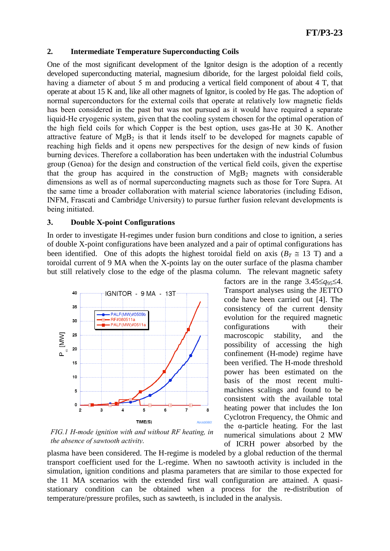#### **2. Intermediate Temperature Superconducting Coils**

One of the most significant development of the Ignitor design is the adoption of a recently developed superconducting material, magnesium diboride, for the largest poloidal field coils, having a diameter of about 5 m and producing a vertical field component of about 4 T, that operate at about 15 K and, like all other magnets of Ignitor, is cooled by He gas. The adoption of normal superconductors for the external coils that operate at relatively low magnetic fields has been considered in the past but was not pursued as it would have required a separate liquid-He cryogenic system, given that the cooling system chosen for the optimal operation of the high field coils for which Copper is the best option, uses gas-He at 30 K. Another attractive feature of  $MgB_2$  is that it lends itself to be developed for magnets capable of reaching high fields and it opens new perspectives for the design of new kinds of fusion burning devices. Therefore a collaboration has been undertaken with the industrial Columbus group (Genoa) for the design and construction of the vertical field coils, given the expertise that the group has acquired in the construction of  $MgB<sub>2</sub>$  magnets with considerable dimensions as well as of normal superconducting magnets such as those for Tore Supra. At the same time a broader collaboration with material science laboratories (including Edison, INFM, Frascati and Cambridge University) to pursue further fusion relevant developments is being initiated.

#### **3. Double X-point Configurations**

In order to investigate H-regimes under fusion burn conditions and close to ignition, a series of double X-point configurations have been analyzed and a pair of optimal configurations has been identified. One of this adopts the highest toroidal field on axis ( $B_T \approx 13$  T) and a toroidal current of 9 MA when the X-points lay on the outer surface of the plasma chamber but still relatively close to the edge of the plasma column. The relevant magnetic safety



*FIG.1 H-mode ignition with and without RF heating, in the absence of sawtooth activity.*

plasma have been considered. The H-regime is modeled by a global reduction of the thermal transport coefficient used for the L-regime. When no sawtooth activity is included in the simulation, ignition conditions and plasma parameters that are similar to those expected for the 11 MA scenarios with the extended first wall configuration are attained. A quasistationary condition can be obtained when a process for the re-distribution of temperature/pressure profiles, such as sawteeth, is included in the analysis.

factors are in the range  $3.45 \leq q_{95} \leq 4$ . Transport analyses using the JETTO code have been carried out [4]. The consistency of the current density evolution for the required magnetic configurations with their macroscopic stability, and the possibility of accessing the high confinement (H-mode) regime have been verified. The H-mode threshold power has been estimated on the basis of the most recent multimachines scalings and found to be consistent with the available total heating power that includes the Ion Cyclotron Frequency, the Ohmic and the α-particle heating. For the last numerical simulations about 2 MW of ICRH power absorbed by the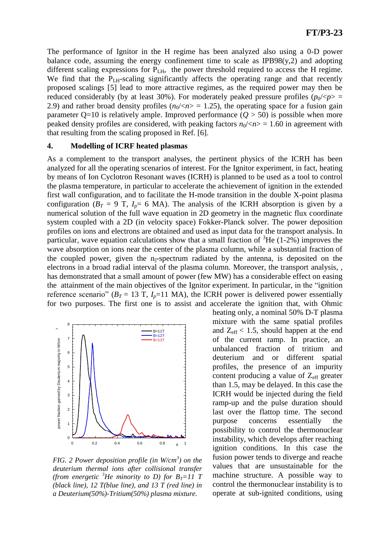The performance of Ignitor in the H regime has been analyzed also using a 0-D power balance code, assuming the energy confinement time to scale as  $IPB98(y,2)$  and adopting different scaling expressions for  $P_{LH}$ , the power threshold required to access the H regime. We find that the P<sub>LH</sub>-scaling significantly affects the operating range and that recently proposed scalings [5] lead to more attractive regimes, as the required power may then be reduced considerably (by at least 30%). For moderately peaked pressure profiles (*p*0/<*p*> = 2.9) and rather broad density profiles  $(n_0 \ll n) = 1.25$ , the operating space for a fusion gain parameter  $Q=10$  is relatively ample. Improved performance  $(Q > 50)$  is possible when more peaked density profiles are considered, with peaking factors  $n_0$ /< $n$  = 1.60 in agreement with that resulting from the scaling proposed in Ref. [6].

#### **4. Modelling of ICRF heated plasmas**

As a complement to the transport analyses, the pertinent physics of the ICRH has been analyzed for all the operating scenarios of interest. For the Ignitor experiment, in fact, heating by means of Ion Cyclotron Resonant waves (ICRH) is planned to be used as a tool to control the plasma temperature, in particular to accelerate the achievement of ignition in the extended first wall configuration, and to facilitate the H-mode transition in the double X-point plasma configuration ( $B_T = 9$  T,  $I_p = 6$  MA). The analysis of the ICRH absorption is given by a numerical solution of the full wave equation in 2D geometry in the magnetic flux coordinate system coupled with a 2D (in velocity space) Fokker-Planck solver. The power deposition profiles on ions and electrons are obtained and used as input data for the transport analysis. In particular, wave equation calculations show that a small fraction of  ${}^{3}$ He (1-2%) improves the wave absorption on ions near the center of the plasma column, while a substantial fraction of the coupled power, given the  $n_{\parallel}$ -spectrum radiated by the antenna, is deposited on the electrons in a broad radial interval of the plasma column. Moreover, the transport analysis, , has demonstrated that a small amount of power (few MW) has a considerable effect on easing the attainment of the main objectives of the Ignitor experiment. In particular, in the "ignition reference scenario" ( $B_T = 13$  T,  $I_p = 11$  MA), the ICRH power is delivered power essentially for two purposes. The first one is to assist and accelerate the ignition that, with Ohmic



*FIG. 2 Power deposition profile (in W/cm<sup>3</sup> ) on the deuterium thermal ions after collisional transfer (from energetic <sup>3</sup>He minority to D) for*  $B_T = 11$  *T (black line), 12 T(blue line), and 13 T (red line) in a Deuterium(50%)-Tritium(50%) plasma mixture.*

heating only, a nominal 50% D-T plasma mixture with the same spatial profiles and  $Z_{\text{eff}}$  < 1.5, should happen at the end of the current ramp. In practice, an unbalanced fraction of tritium and deuterium and or different spatial profiles, the presence of an impurity content producing a value of  $Z_{\text{eff}}$  greater than 1.5, may be delayed. In this case the ICRH would be injected during the field ramp-up and the pulse duration should last over the flattop time. The second purpose concerns essentially the possibility to control the thermonuclear instability, which develops after reaching ignition conditions. In this case the fusion power tends to diverge and reache values that are unsustainable for the machine structure. A possible way to control the thermonuclear instability is to operate at sub-ignited conditions, using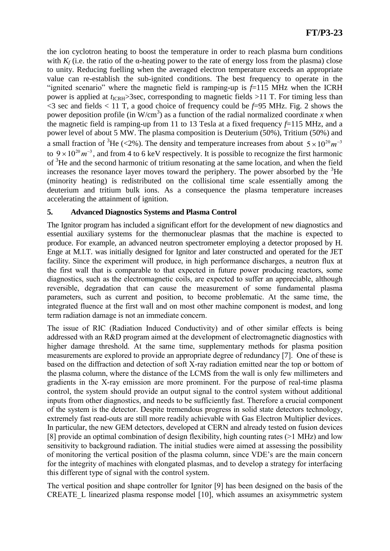the ion cyclotron heating to boost the temperature in order to reach plasma burn conditions with  $K_f$  (i.e. the ratio of the  $\alpha$ -heating power to the rate of energy loss from the plasma) close to unity. Reducing fuelling when the averaged electron temperature exceeds an appropriate value can re-establish the sub-ignited conditions. The best frequency to operate in the "ignited scenario" where the magnetic field is ramping-up is *f*=115 MHz when the ICRH power is applied at  $t_{\text{ICRH}}$ >3sec, corresponding to magnetic fields >11 T. For timing less than <3 sec and fields < 11 T, a good choice of frequency could be *f*=95 MHz. Fig. 2 shows the power deposition profile (in  $W/cm<sup>3</sup>$ ) as a function of the radial normalized coordinate *x* when the magnetic field is ramping-up from 11 to 13 Tesla at a fixed frequency *f*=115 MHz, and a power level of about 5 MW. The plasma composition is Deuterium (50%), Tritium (50%) and a small fraction of <sup>3</sup>He (<2%). The density and temperature increases from about  $5 \times 10^{20} m^{-3}$ increases the resonance layer moves toward the periphery. The power absorbed by the  ${}^{3}$ He to  $9 \times 10^{20}$   $m^{-3}$ , and from 4 to 6 keV respectively. It is possible to recognize the first harmonic of <sup>3</sup>He and the second harmonic of tritium resonating at the same location, and when the field (minority heating) is redistributed on the collisional time scale essentially among the deuterium and tritium bulk ions. As a consequence the plasma temperature increases accelerating the attainment of ignition.

## **5. Advanced Diagnostics Systems and Plasma Control**

The Ignitor program has included a significant effort for the development of new diagnostics and essential auxiliary systems for the thermonuclear plasmas that the machine is expected to produce. For example, an advanced neutron spectrometer employing a detector proposed by H. Enge at M.I.T. was initially designed for Ignitor and later constructed and operated for the JET facility. Since the experiment will produce, in high performance discharges, a neutron flux at the first wall that is comparable to that expected in future power producing reactors, some diagnostics, such as the electromagnetic coils, are expected to suffer an appreciable, although reversible, degradation that can cause the measurement of some fundamental plasma parameters, such as current and position, to become problematic. At the same time, the integrated fluence at the first wall and on most other machine component is modest, and long term radiation damage is not an immediate concern.

The issue of RIC (Radiation Induced Conductivity) and of other similar effects is being addressed with an R&D program aimed at the development of electromagnetic diagnostics with higher damage threshold. At the same time, supplementary methods for plasma position measurements are explored to provide an appropriate degree of redundancy [7]. One of these is based on the diffraction and detection of soft X-ray radiation emitted near the top or bottom of the plasma column, where the distance of the LCMS from the wall is only few millimeters and gradients in the X-ray emission are more prominent. For the purpose of real-time plasma control, the system should provide an output signal to the control system without additional inputs from other diagnostics, and needs to be sufficiently fast. Therefore a crucial component of the system is the detector. Despite tremendous progress in solid state detectors technology, extremely fast read-outs are still more readily achievable with Gas Electron Multiplier devices. In particular, the new GEM detectors, developed at CERN and already tested on fusion devices [8] provide an optimal combination of design flexibility, high counting rates (>1 MHz) and low sensitivity to background radiation. The initial studies were aimed at assessing the possibility of monitoring the vertical position of the plasma column, since VDE's are the main concern for the integrity of machines with elongated plasmas, and to develop a strategy for interfacing this different type of signal with the control system.

The vertical position and shape controller for Ignitor [9] has been designed on the basis of the CREATE\_L linearized plasma response model [10], which assumes an axisymmetric system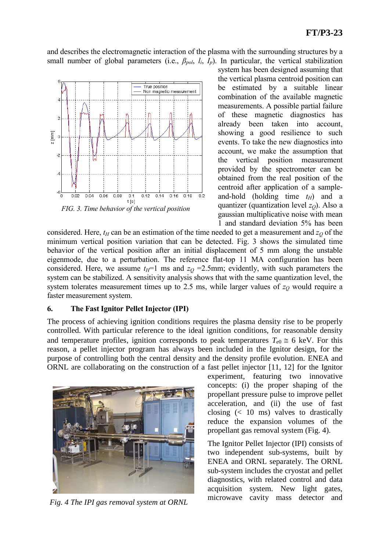and describes the electromagnetic interaction of the plasma with the surrounding structures by a small number of global parameters (i.e.,  $\beta_{pol}$ ,  $l_i$ ,  $I_p$ ). In particular, the vertical stabilization



*FIG. 3. Time behavior of the vertical position*

system has been designed assuming that the vertical plasma centroid position can be estimated by a suitable linear combination of the available magnetic measurements. A possible partial failure of these magnetic diagnostics has already been taken into account, showing a good resilience to such events. To take the new diagnostics into account, we make the assumption that the vertical position measurement provided by the spectrometer can be obtained from the real position of the centroid after application of a sampleand-hold (holding time *tH*) and a quantizer (quantization level  $z<sub>O</sub>$ ). Also a gaussian multiplicative noise with mean 1 and standard deviation 5% has been

considered. Here,  $t$ <sup>*H*</sup> can be an estimation of the time needed to get a measurement and  $z$ <sup>*Q*</sup> of the minimum vertical position variation that can be detected. Fig. 3 shows the simulated time behavior of the vertical position after an initial displacement of 5 mm along the unstable eigenmode, due to a perturbation. The reference flat-top 11 MA configuration has been considered. Here, we assume  $t_H$ =1 ms and  $z_O$  =2.5mm; evidently, with such parameters the system can be stabilized. A sensitivity analysis shows that with the same quantization level, the system tolerates measurement times up to 2.5 ms, while larger values of  $z<sub>O</sub>$  would require a faster measurement system.

### **6. The Fast Ignitor Pellet Injector (IPI)**

The process of achieving ignition conditions requires the plasma density rise to be properly controlled. With particular reference to the ideal ignition conditions, for reasonable density and temperature profiles, ignition corresponds to peak temperatures  $T_{e0} \approx 6$  keV. For this reason, a pellet injector program has always been included in the Ignitor design, for the purpose of controlling both the central density and the density profile evolution. ENEA and ORNL are collaborating on the construction of a fast pellet injector [11, 12] for the Ignitor



*Fig. 4 The IPI gas removal system at ORNL*

experiment, featuring two innovative concepts: (i) the proper shaping of the propellant pressure pulse to improve pellet acceleration, and (ii) the use of fast closing  $\left($  < 10 ms) valves to drastically reduce the expansion volumes of the propellant gas removal system (Fig. 4).

The Ignitor Pellet Injector (IPI) consists of two independent sub-systems, built by ENEA and ORNL separately. The ORNL sub-system includes the cryostat and pellet diagnostics, with related control and data acquisition system. New light gates, microwave cavity mass detector and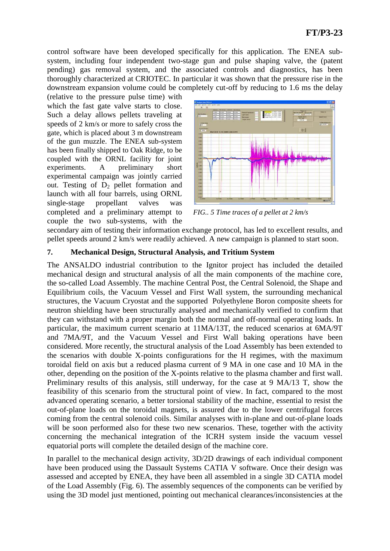control software have been developed specifically for this application. The ENEA subsystem, including four independent two-stage gun and pulse shaping valve, the (patent pending) gas removal system, and the associated controls and diagnostics, has been thoroughly characterized at CRIOTEC. In particular it was shown that the pressure rise in the downstream expansion volume could be completely cut-off by reducing to 1.6 ms the delay

(relative to the pressure pulse time) with which the fast gate valve starts to close. Such a delay allows pellets traveling at speeds of 2 km/s or more to safely cross the gate, which is placed about 3 m downstream of the gun muzzle. The ENEA sub-system has been finally shipped to Oak Ridge, to be coupled with the ORNL facility for joint experiments. A preliminary short experimental campaign was jointly carried out. Testing of  $D_2$  pellet formation and launch with all four barrels, using ORNL single-stage propellant valves was completed and a preliminary attempt to couple the two sub-systems, with the



*FIG.. 5 Time traces of a pellet at 2 km/s*

secondary aim of testing their information exchange protocol, has led to excellent results, and pellet speeds around 2 km/s were readily achieved. A new campaign is planned to start soon.

## **7. Mechanical Design, Structural Analysis, and Tritium System**

The ANSALDO industrial contribution to the Ignitor project has included the detailed mechanical design and structural analysis of all the main components of the machine core, the so-called Load Assembly. The machine Central Post, the Central Solenoid, the Shape and Equilibrium coils, the Vacuum Vessel and First Wall system, the surrounding mechanical structures, the Vacuum Cryostat and the supported Polyethylene Boron composite sheets for neutron shielding have been structurally analysed and mechanically verified to confirm that they can withstand with a proper margin both the normal and off-normal operating loads. In particular, the maximum current scenario at 11MA/13T, the reduced scenarios at 6MA/9T and 7MA/9T, and the Vacuum Vessel and First Wall baking operations have been considered. More recently, the structural analysis of the Load Assembly has been extended to the scenarios with double X-points configurations for the H regimes, with the maximum toroidal field on axis but a reduced plasma current of 9 MA in one case and 10 MA in the other, depending on the position of the X-points relative to the plasma chamber and first wall. Preliminary results of this analysis, still underway, for the case at 9 MA/13 T, show the feasibility of this scenario from the structural point of view. In fact, compared to the most advanced operating scenario, a better torsional stability of the machine, essential to resist the out-of-plane loads on the toroidal magnets, is assured due to the lower centrifugal forces coming from the central solenoid coils. Similar analyses with in-plane and out-of-plane loads will be soon performed also for these two new scenarios. These, together with the activity concerning the mechanical integration of the ICRH system inside the vacuum vessel equatorial ports will complete the detailed design of the machine core.

In parallel to the mechanical design activity, 3D/2D drawings of each individual component have been produced using the Dassault Systems CATIA V software. Once their design was assessed and accepted by ENEA, they have been all assembled in a single 3D CATIA model of the Load Assembly (Fig. 6). The assembly sequences of the components can be verified by using the 3D model just mentioned, pointing out mechanical clearances/inconsistencies at the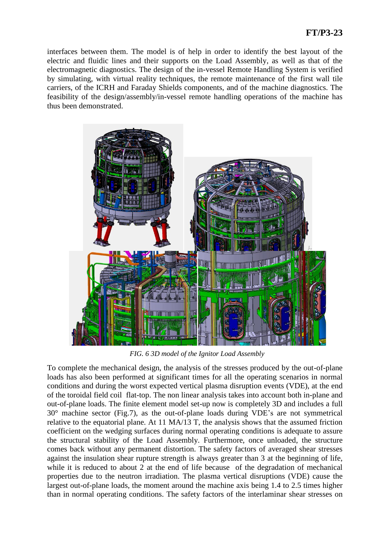interfaces between them. The model is of help in order to identify the best layout of the electric and fluidic lines and their supports on the Load Assembly, as well as that of the electromagnetic diagnostics. The design of the in-vessel Remote Handling System is verified by simulating, with virtual reality techniques, the remote maintenance of the first wall tile carriers, of the ICRH and Faraday Shields components, and of the machine diagnostics. The feasibility of the design/assembly/in-vessel remote handling operations of the machine has thus been demonstrated.



*FIG. 6 3D model of the Ignitor Load Assembly*

To complete the mechanical design, the analysis of the stresses produced by the out-of-plane loads has also been performed at significant times for all the operating scenarios in normal conditions and during the worst expected vertical plasma disruption events (VDE), at the end of the toroidal field coil flat-top. The non linear analysis takes into account both in-plane and out-of-plane loads. The finite element model set-up now is completely 3D and includes a full 30° machine sector (Fig.7), as the out-of-plane loads during VDE's are not symmetrical relative to the equatorial plane. At 11 MA/13 T, the analysis shows that the assumed friction coefficient on the wedging surfaces during normal operating conditions is adequate to assure the structural stability of the Load Assembly. Furthermore, once unloaded, the structure comes back without any permanent distortion. The safety factors of averaged shear stresses against the insulation shear rupture strength is always greater than 3 at the beginning of life, while it is reduced to about 2 at the end of life because of the degradation of mechanical properties due to the neutron irradiation. The plasma vertical disruptions (VDE) cause the largest out-of-plane loads, the moment around the machine axis being 1.4 to 2.5 times higher than in normal operating conditions. The safety factors of the interlaminar shear stresses on